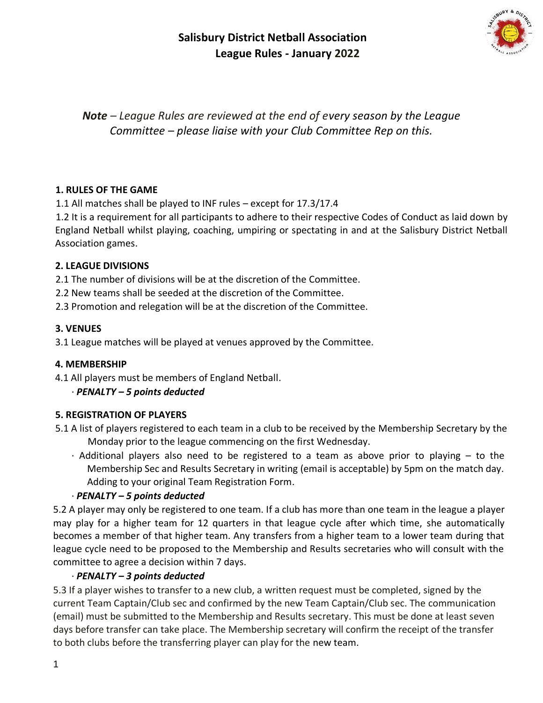# **Salisbury District Netball Association League Rules - January 2022**



*Note – League Rules are reviewed at the end of every season by the League Committee – please liaise with your Club Committee Rep on this.* 

#### **1. RULES OF THE GAME**

1.1 All matches shall be played to INF rules – except for 17.3/17.4

1.2 It is a requirement for all participants to adhere to their respective Codes of Conduct as laid down by England Netball whilst playing, coaching, umpiring or spectating in and at the Salisbury District Netball Association games.

#### **2. LEAGUE DIVISIONS**

2.1 The number of divisions will be at the discretion of the Committee.

2.2 New teams shall be seeded at the discretion of the Committee.

2.3 Promotion and relegation will be at the discretion of the Committee.

#### **3. VENUES**

3.1 League matches will be played at venues approved by the Committee.

#### **4. MEMBERSHIP**

4.1 All players must be members of England Netball.

### ∙ *PENALTY – 5 points deducted*

### **5. REGISTRATION OF PLAYERS**

- 5.1 A list of players registered to each team in a club to be received by the Membership Secretary by the Monday prior to the league commencing on the first Wednesday.
	- ∙ Additional players also need to be registered to a team as above prior to playing to the Membership Sec and Results Secretary in writing (email is acceptable) by 5pm on the match day. Adding to your original Team Registration Form.

### ∙ *PENALTY – 5 points deducted*

5.2 A player may only be registered to one team. If a club has more than one team in the league a player may play for a higher team for 12 quarters in that league cycle after which time, she automatically becomes a member of that higher team. Any transfers from a higher team to a lower team during that league cycle need to be proposed to the Membership and Results secretaries who will consult with the committee to agree a decision within 7 days.

### ∙ *PENALTY – 3 points deducted*

5.3 If a player wishes to transfer to a new club, a written request must be completed, signed by the current Team Captain/Club sec and confirmed by the new Team Captain/Club sec. The communication (email) must be submitted to the Membership and Results secretary. This must be done at least seven days before transfer can take place. The Membership secretary will confirm the receipt of the transfer to both clubs before the transferring player can play for the new team.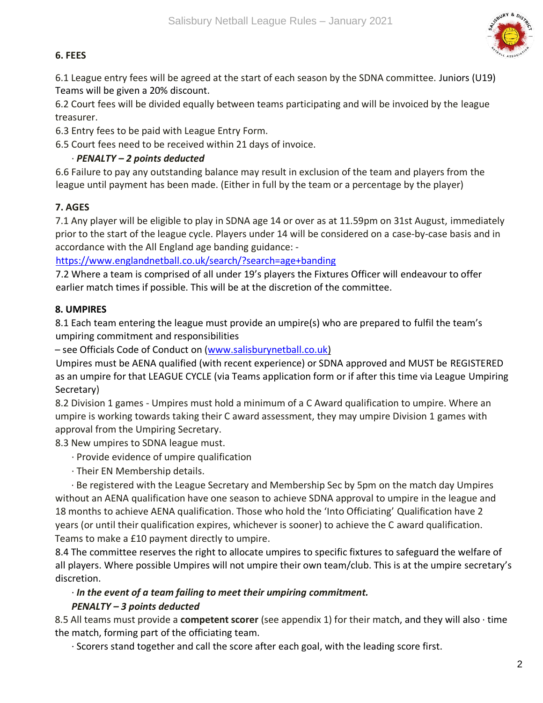### **6. FEES**

6.1 League entry fees will be agreed at the start of each season by the SDNA committee. Juniors (U19) Teams will be given a 20% discount.

6.2 Court fees will be divided equally between teams participating and will be invoiced by the league treasurer.

6.3 Entry fees to be paid with League Entry Form.

6.5 Court fees need to be received within 21 days of invoice.

### ∙ *PENALTY – 2 points deducted*

6.6 Failure to pay any outstanding balance may result in exclusion of the team and players from the league until payment has been made. (Either in full by the team or a percentage by the player)

### **7. AGES**

7.1 Any player will be eligible to play in SDNA age 14 or over as at 11.59pm on 31st August, immediately prior to the start of the league cycle. Players under 14 will be considered on a case-by-case basis and in accordance with the All England age banding guidance: -

https://www.englandnetball.co.uk/search/?search=age+banding

7.2 Where a team is comprised of all under 19's players the Fixtures Officer will endeavour to offer earlier match times if possible. This will be at the discretion of the committee.

### **8. UMPIRES**

8.1 Each team entering the league must provide an umpire(s) who are prepared to fulfil the team's umpiring commitment and responsibilities

– see Officials Code of Conduct on (www.salisburynetball.co.uk)

Umpires must be AENA qualified (with recent experience) or SDNA approved and MUST be REGISTERED as an umpire for that LEAGUE CYCLE (via Teams application form or if after this time via League Umpiring Secretary)

8.2 Division 1 games - Umpires must hold a minimum of a C Award qualification to umpire. Where an umpire is working towards taking their C award assessment, they may umpire Division 1 games with approval from the Umpiring Secretary.

8.3 New umpires to SDNA league must.

∙ Provide evidence of umpire qualification

∙ Their EN Membership details.

∙ Be registered with the League Secretary and Membership Sec by 5pm on the match day Umpires without an AENA qualification have one season to achieve SDNA approval to umpire in the league and 18 months to achieve AENA qualification. Those who hold the 'Into Officiating' Qualification have 2 years (or until their qualification expires, whichever is sooner) to achieve the C award qualification. Teams to make a £10 payment directly to umpire.

8.4 The committee reserves the right to allocate umpires to specific fixtures to safeguard the welfare of all players. Where possible Umpires will not umpire their own team/club. This is at the umpire secretary's discretion.

# ∙ *In the event of a team failing to meet their umpiring commitment.*

### *PENALTY – 3 points deducted*

8.5 All teams must provide a **competent scorer** (see appendix 1) for their match, and they will also ∙ time the match, forming part of the officiating team.

∙ Scorers stand together and call the score after each goal, with the leading score first.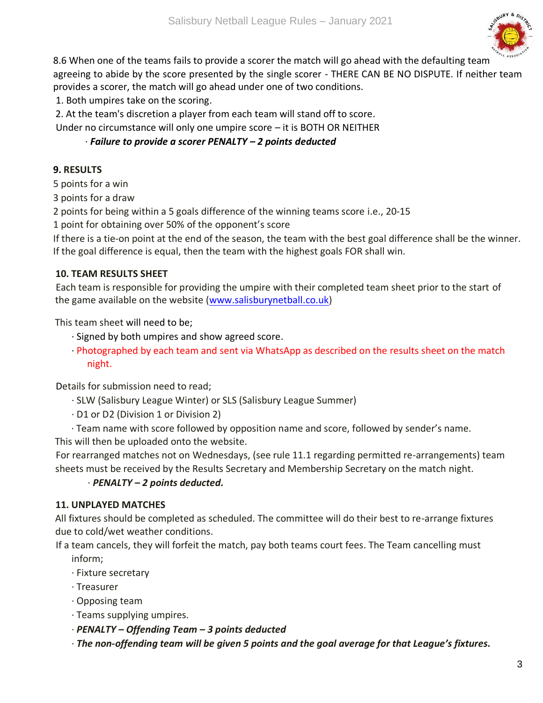

8.6 When one of the teams fails to provide a scorer the match will go ahead with the defaulting team agreeing to abide by the score presented by the single scorer - THERE CAN BE NO DISPUTE. If neither team provides a scorer, the match will go ahead under one of two conditions.

1. Both umpires take on the scoring.

2. At the team's discretion a player from each team will stand off to score.

Under no circumstance will only one umpire score – it is BOTH OR NEITHER

#### ∙ *Failure to provide a scorer PENALTY – 2 points deducted*

#### **9. RESULTS**

5 points for a win

3 points for a draw

2 points for being within a 5 goals difference of the winning teams score i.e., 20-15

1 point for obtaining over 50% of the opponent's score

If there is a tie-on point at the end of the season, the team with the best goal difference shall be the winner. If the goal difference is equal, then the team with the highest goals FOR shall win.

#### **10. TEAM RESULTS SHEET**

Each team is responsible for providing the umpire with their completed team sheet prior to the start of the game available on the website (www.salisburynetball.co.uk)

This team sheet will need to be;

- ∙ Signed by both umpires and show agreed score.
- ∙ Photographed by each team and sent via WhatsApp as described on the results sheet on the match night.

Details for submission need to read;

- ∙ SLW (Salisbury League Winter) or SLS (Salisbury League Summer)
- ∙ D1 or D2 (Division 1 or Division 2)
- ∙ Team name with score followed by opposition name and score, followed by sender's name. This will then be uploaded onto the website.

For rearranged matches not on Wednesdays, (see rule 11.1 regarding permitted re-arrangements) team sheets must be received by the Results Secretary and Membership Secretary on the match night.

### ∙ *PENALTY – 2 points deducted.*

### **11. UNPLAYED MATCHES**

All fixtures should be completed as scheduled. The committee will do their best to re-arrange fixtures due to cold/wet weather conditions.

If a team cancels, they will forfeit the match, pay both teams court fees. The Team cancelling must inform;

- ∙ Fixture secretary
- ∙ Treasurer
- ∙ Opposing team
- ∙ Teams supplying umpires.
- ∙ *PENALTY – Offending Team – 3 points deducted*
- ∙ *The non-offending team will be given 5 points and the goal average for that League's fixtures.*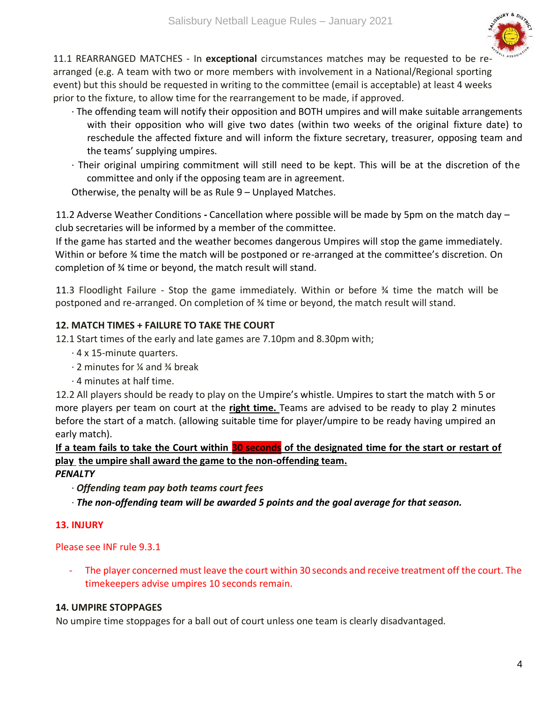

11.1 REARRANGED MATCHES - In **exceptional** circumstances matches may be requested to be rearranged (e.g. A team with two or more members with involvement in a National/Regional sporting event) but this should be requested in writing to the committee (email is acceptable) at least 4 weeks prior to the fixture, to allow time for the rearrangement to be made, if approved.

- ∙ The offending team will notify their opposition and BOTH umpires and will make suitable arrangements with their opposition who will give two dates (within two weeks of the original fixture date) to reschedule the affected fixture and will inform the fixture secretary, treasurer, opposing team and the teams' supplying umpires.
- ∙ Their original umpiring commitment will still need to be kept. This will be at the discretion of the committee and only if the opposing team are in agreement.

Otherwise, the penalty will be as Rule 9 – Unplayed Matches.

11.2 Adverse Weather Conditions *-* Cancellation where possible will be made by 5pm on the match day – club secretaries will be informed by a member of the committee.

If the game has started and the weather becomes dangerous Umpires will stop the game immediately. Within or before ¾ time the match will be postponed or re-arranged at the committee's discretion. On completion of ¾ time or beyond, the match result will stand.

11.3 Floodlight Failure - Stop the game immediately. Within or before ¾ time the match will be postponed and re-arranged. On completion of ¾ time or beyond, the match result will stand.

#### **12. MATCH TIMES + FAILURE TO TAKE THE COURT**

12.1 Start times of the early and late games are 7.10pm and 8.30pm with;

- ∙ 4 x 15-minute quarters.
- ∙ 2 minutes for ¼ and ¾ break
- ∙ 4 minutes at half time.

12.2 All players should be ready to play on the Umpire's whistle. Umpires to start the match with 5 or more players per team on court at the **right time.** Teams are advised to be ready to play 2 minutes before the start of a match. (allowing suitable time for player/umpire to be ready having umpired an early match).

**If a team fails to take the Court within 30 seconds of the designated time for the start or restart of play the umpire shall award the game to the non-offending team.**

#### *PENALTY*

- ∙ *Offending team pay both teams court fees*
- ∙ *The non-offending team will be awarded 5 points and the goal average for that season.*

#### **13. INJURY**

#### Please see INF rule 9.3.1

The player concerned must leave the court within 30 seconds and receive treatment off the court. The timekeepers advise umpires 10 seconds remain.

#### **14. UMPIRE STOPPAGES**

No umpire time stoppages for a ball out of court unless one team is clearly disadvantaged.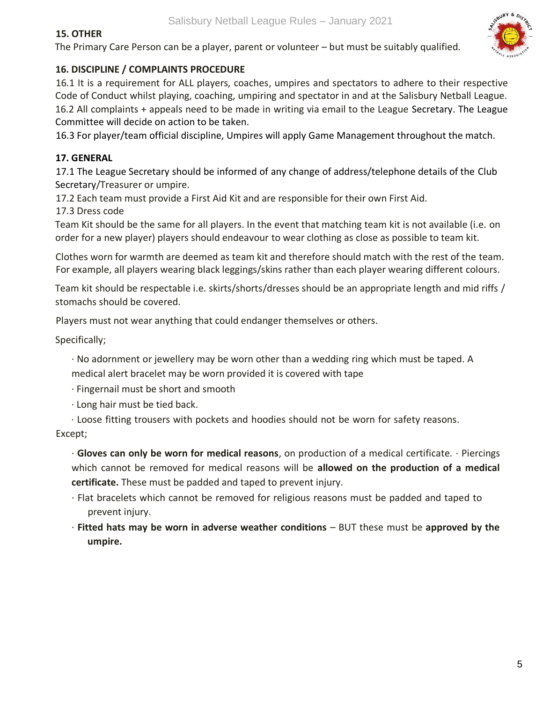### **15. OTHER**

The Primary Care Person can be a player, parent or volunteer – but must be suitably qualified.

#### **16. DISCIPLINE / COMPLAINTS PROCEDURE**

16.1 It is a requirement for ALL players, coaches, umpires and spectators to adhere to their respective Code of Conduct whilst playing, coaching, umpiring and spectator in and at the Salisbury Netball League. 16.2 All complaints + appeals need to be made in writing via email to the League Secretary. The League Committee will decide on action to be taken.

16.3 For player/team official discipline, Umpires will apply Game Management throughout the match.

#### **17. GENERAL**

17.1 The League Secretary should be informed of any change of address/telephone details of the Club Secretary/Treasurer or umpire.

17.2 Each team must provide a First Aid Kit and are responsible for their own First Aid.

17.3 Dress code

Team Kit should be the same for all players. In the event that matching team kit is not available (i.e. on order for a new player) players should endeavour to wear clothing as close as possible to team kit.

Clothes worn for warmth are deemed as team kit and therefore should match with the rest of the team. For example, all players wearing black leggings/skins rather than each player wearing different colours.

Team kit should be respectable i.e. skirts/shorts/dresses should be an appropriate length and mid riffs / stomachs should be covered.

Players must not wear anything that could endanger themselves or others.

Specifically;

- ∙ No adornment or jewellery may be worn other than a wedding ring which must be taped. A medical alert bracelet may be worn provided it is covered with tape
- ∙ Fingernail must be short and smooth
- ∙ Long hair must be tied back.
- ∙ Loose fitting trousers with pockets and hoodies should not be worn for safety reasons.

Except;

∙ **Gloves can only be worn for medical reasons**, on production of a medical certificate. ∙ Piercings which cannot be removed for medical reasons will be **allowed on the production of a medical certificate.** These must be padded and taped to prevent injury.

- ∙ Flat bracelets which cannot be removed for religious reasons must be padded and taped to prevent injury.
- ∙ **Fitted hats may be worn in adverse weather conditions**  BUT these must be **approved by the umpire.**